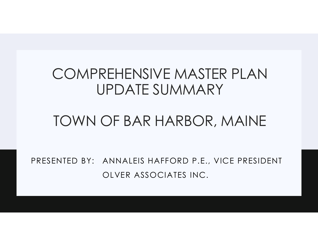## COMPREHENSIVE MASTER PLAN UPDATE SUMMARY REHENSIVE MASTER PLAN<br>JPDATE SUMMARY<br>OF BAR HARBOR, MAINE<br>ANNALEIS HAFFORD P.E., VICE PRESID<br>OLVER ASSOCIATES INC.

## TOWN OF BAR HARBOR, MAINE

PRESENTED BY: ANNALEIS HAFFORD P.E., VICE PRESIDENT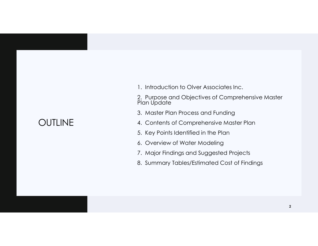## **OUTLINE**

1. Introduction to Olver Associates Inc.

2. Purpose and Objectives of Comprehensive Master Plan Update

- 3. Master Plan Process and Funding
- 4. Contents of Comprehensive Master Plan
- 5. Key Points Identified in the Plan
- 6. Overview of Water Modeling
- 7. Major Findings and Suggested Projects
- 8. Summary Tables/Estimated Cost of Findings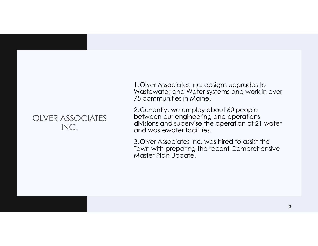## OLVER ASSOCIATES INC.

1.Olver Associates Inc. designs upgrades to Wastewater and Water systems and work in over 75 communities in Maine.

2.Currently, we employ about 60 people between our engineering and operations divisions and supervise the operation of 21 water and wastewater facilities.

3.Olver Associates Inc. was hired to assist the Town with preparing the recent Comprehensive Master Plan Update.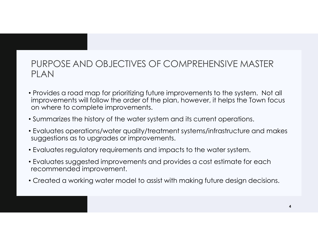## PURPOSE AND OBJECTIVES OF COMPREHENSIVE MASTER PLAN

- Provides a road map for prioritizing future improvements to the system. Not all improvements will follow the order of the plan, however, it helps the Town focus on where to complete improvements.
- Summarizes the history of the water system and its current operations.
- Evaluates operations/water quality/treatment systems/infrastructure and makes suggestions as to upgrades or improvements.
- Evaluates regulatory requirements and impacts to the water system.
- Evaluates suggested improvements and provides a cost estimate for each recommended improvement.
- Created a working water model to assist with making future design decisions.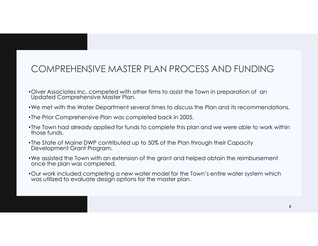## COMPREHENSIVE MASTER PLAN PROCESS AND FUNDING

- •Olver Associates Inc. competed with other firms to assist the Town in preparation of an Updated Comprehensive Master Plan.
- •We met with the Water Department several times to discuss the Plan and its recommendations.
- •The Prior Comprehensive Plan was completed back in 2005.
- •The Town had already applied for funds to complete this plan and we were able to work within those funds.
- •The State of Maine DWP contributed up to 50% of the Plan through their Capacity Development Grant Program.
- •We assisted the Town with an extension of the grant and helped obtain the reimbursement once the plan was completed.
- •Our work included completing a new water model for the Town's entire water system which was utilized to evaluate design options for the master plan.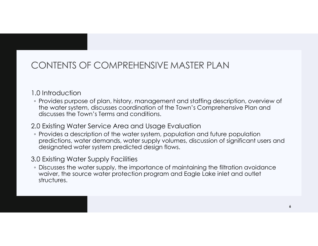## CONTENTS OF COMPREHENSIVE MASTER PLAN

## 1.0 Introduction

◦ Provides purpose of plan, history, management and staffing description, overview of the water system, discusses coordination of the Town's Comprehensive Plan and discusses the Town's Terms and conditions.

## 2.0 Existing Water Service Area and Usage Evaluation

◦ Provides a description of the water system, population and future population predictions, water demands, water supply volumes, discussion of significant users and designated water system predicted design flows.

## 3.0 Existing Water Supply Facilities

◦ Discusses the water supply, the importance of maintaining the filtration avoidance waiver, the source water protection program and Eagle Lake inlet and outlet structures.

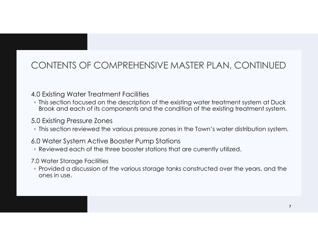## CONTENTS OF COMPREHENSIVE MASTER PLAN, CONTINUED

## 4.0 Existing Water Treatment Facilities

◦ This section focused on the description of the existing water treatment system at Duck Brook and each of its components and the condition of the existing treatment system.

## 5.0 Existing Pressure Zones

◦ This section reviewed the various pressure zones in the Town's water distribution system.

## 6.0 Water System Active Booster Pump Stations

◦ Reviewed each of the three booster stations that are currently utilized.

### 7.0 Water Storage Facilities

◦ Provided a discussion of the various storage tanks constructed over the years, and the ones in use.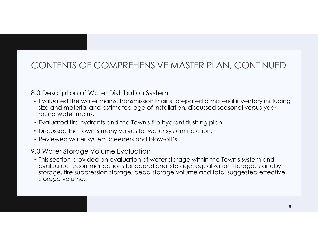## CONTENTS OF COMPREHENSIVE MASTER PLAN, CONTINUED

## 8.0 Description of Water Distribution System

- Evaluated the water mains, transmission mains, prepared a material inventory including size and material and estimated age of installation, discussed seasonal versus yearround water mains.
- Evaluated fire hydrants and the Town's fire hydrant flushing plan.
- Discussed the Town's many valves for water system isolation.
- Reviewed water system bleeders and blow-off's.

## 9.0 Water Storage Volume Evaluation

◦ This section provided an evaluation of water storage within the Town's system and evaluated recommendations for operational storage, equalization storage, standby storage, fire suppression storage, dead storage volume and total suggested effective storage volume.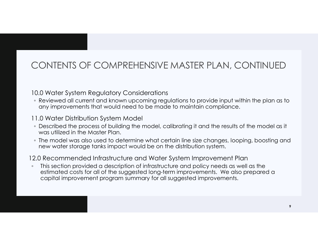## CONTENTS OF COMPREHENSIVE MASTER PLAN, CONTINUED

## 10.0 Water System Regulatory Considerations

◦ Reviewed all current and known upcoming regulations to provide input within the plan as to any improvements that would need to be made to maintain compliance.

## 11.0 Water Distribution System Model

- Described the process of building the model, calibrating it and the results of the model as it was utilized in the Master Plan.
- The model was also used to determine what certain line size changes, looping, boosting and new water storage tanks impact would be on the distribution system.

## 12.0 Recommended Infrastructure and Water System Improvement Plan

◦ This section provided a description of infrastructure and policy needs as well as the estimated costs for all of the suggested long-term improvements. We also prepared a capital improvement program summary for all suggested improvements.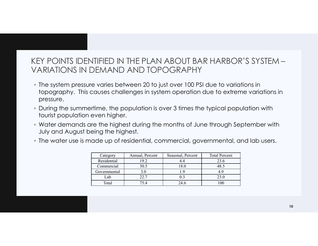## KEY POINTS IDENTIFIED IN THE PLAN ABOUT BAR HARBOR'S SYSTEM – VARIATIONS IN DEMAND AND TOPOGRAPHY

- The system pressure varies between 20 to just over 100 PSI due to variations in topography. This causes challenges in system operation due to extreme variations in pressure.
- During the summertime, the population is over 3 times the typical population with tourist population even higher.
- Water demands are the highest during the months of June through September with July and August being the highest.
- The water use is made up of residential, commercial, governmental, and lab users.

|                   |                 | DEMAND AND TOPOGRAPHY                                              |                      | NTIFIED IN THE PLAN ABOUT BAR HARBOR'S SYSTEM —                    |    |  |
|-------------------|-----------------|--------------------------------------------------------------------|----------------------|--------------------------------------------------------------------|----|--|
|                   |                 | re varies between 20 to just over 100 PSI due to variations in     |                      | causes challenges in system operation due to extreme variations in |    |  |
| even higher.      |                 | ertime, the population is over 3 times the typical population with |                      |                                                                    |    |  |
| eing the highest. |                 |                                                                    |                      | are the highest during the months of June through September with   |    |  |
|                   |                 | iade up of residential, commercial, governmental, and lab users.   |                      |                                                                    |    |  |
| Category          | Annual, Percent | Seasonal, Percent                                                  | <b>Total Percent</b> |                                                                    |    |  |
| Residential       | 19.2            | 4.4                                                                | 23.6                 |                                                                    |    |  |
| Commercial        | 30.5            | 18.0                                                               | 48.5                 |                                                                    |    |  |
| Governmental      | 3.0             | 1.9                                                                | 4.9                  |                                                                    |    |  |
| Lab               | 22.7            | 0.3                                                                | 23.0                 |                                                                    |    |  |
| Total             | 75.4            | 24.6                                                               | 100                  |                                                                    |    |  |
|                   |                 |                                                                    |                      |                                                                    |    |  |
|                   |                 |                                                                    |                      |                                                                    |    |  |
|                   |                 |                                                                    |                      |                                                                    | 10 |  |

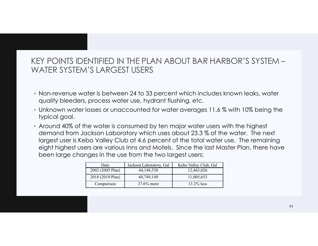## KEY POINTS IDENTIFIED IN THE PLAN ABOUT BAR HARBOR'S SYSTEM – WATER SYSTEM'S LARGEST USERS

- Non-revenue water is between 24 to 33 percent which includes known leaks, water quality bleeders, process water use, hydrant flushing, etc.
- Unknown water losses or unaccounted for water averages 11.6 % with 10% being the typical goal.
- Around 40% of the water is consumed by ten major water users with the highest demand from Jackson Laboratory which uses about 23.3 % of the water. The next largest user is Kebo Valley Club at 4.6 percent of the total water use. The remaining eight highest users are various Inns and Motels. Since the last Master Plan, there have been large changes in the use from the two largest users: TELD IIN THE PLANN ABOUT BAR HARBOUR 3 3 T3TENN  $-$ <br>ARGEST USERS<br>between 24 to 33 percent which includes known leaks, water<br>ess water use, hydrant flushing, etc.<br>or unaccounted for water averages 11.6 % with 10% being the S LARGEST USERS<br>
er is between 24 to 33 percent which includes known leaks, water<br>
process water use, hydrant flushing, etc.<br>
sses or unaccounted for water averages 11.6 % with 10% being the<br>
e water is consumed by ten maj er is between 24 to 33 percent which includes known leaks, water<br>process water use, hydrant flushing, etc.<br>sses or unaccounted for water averages 11.6 % with 10% being the<br>exater is consumed by ten major water users with is between 24 to 33 percent which includes known leaks, water<br>ocess water use, hydrant flushing, etc.<br>es or unaccounted for water averages 11.6 % with 10% being the<br>water is consumed by ten major water users with the high

| Date             | Jackson Laboratory, Gal | Kebo Valley Club, Gal |
|------------------|-------------------------|-----------------------|
| 2002 (2005 Plan) | 44,148,538              | 12,463,026            |
| 2018 (2019 Plan) | 60,749,149              | 11,005,653            |
| Comparison       | $37.6\%$ more           | $13.2\%$ less         |

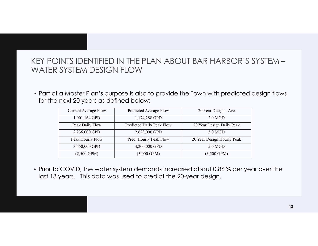## KEY POINTS IDENTIFIED IN THE PLAN ABOUT BAR HARBOR'S SYSTEM – WATER SYSTEM DESIGN FLOW

◦ Part of a Master Plan's purpose is also to provide the Town with predicted design flows for the next 20 years as defined below:

|                                 | INTS IDENTIFIED IN THE PLAN ABOUT BAR HARBOR'S SYSTEM -                         |                            |  |
|---------------------------------|---------------------------------------------------------------------------------|----------------------------|--|
|                                 |                                                                                 |                            |  |
| SYSTEM DESIGN FLOW              |                                                                                 |                            |  |
|                                 |                                                                                 |                            |  |
|                                 |                                                                                 |                            |  |
|                                 | a Master Plan's purpose is also to provide the Town with predicted design flows |                            |  |
| next 20 years as defined below: |                                                                                 |                            |  |
| <b>Current Average Flow</b>     | Predicted Average Flow                                                          | 20 Year Design - Ave       |  |
| 1,001,164 GPD                   | 1,174,288 GPD                                                                   | $2.0$ MGD                  |  |
| Peak Daily Flow                 | Predicted Daily Peak Flow                                                       | 20 Year Design Daily Peak  |  |
| 2,236,000 GPD                   | 2,623,000 GPD                                                                   | 3.0 MGD                    |  |
| Peak Hourly Flow                | Pred. Hourly Peak Flow                                                          | 20 Year Design Hourly Peak |  |
| 3,550,000 GPD                   | 4,200,000 GPD                                                                   | 5.0 MGD                    |  |

◦ Prior to COVID, the water system demands increased about 0.86 % per year over the last 13 years. This data was used to predict the 20-year design.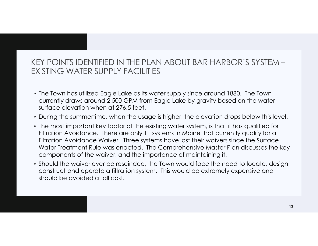## KEY POINTS IDENTIFIED IN THE PLAN ABOUT BAR HARBOR'S SYSTEM – EXISTING WATER SUPPLY FACILITIES

- The Town has utilized Eagle Lake as its water supply since around 1880. The Town currently draws around 2,500 GPM from Eagle Lake by gravity based on the water surface elevation when at 276.5 feet.
- During the summertime, when the usage is higher, the elevation drops below this level.
- The most important key factor of the existing water system, is that it has qualified for Filtration Avoidance. There are only 11 systems in Maine that currently qualify for a Filtration Avoidance Waiver. Three systems have lost their waivers since the Surface Water Treatment Rule was enacted. The Comprehensive Master Plan discusses the key components of the waiver, and the importance of maintaining it.
- Should the waiver ever be rescinded, the Town would face the need to locate, design, construct and operate a filtration system. This would be extremely expensive and should be avoided at all cost.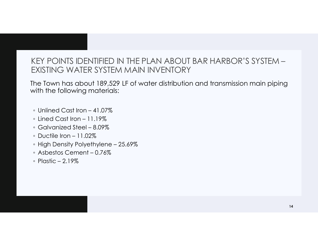## EXEY POINTS IDENTIFIED IN THE PLAN ABOUT BAR HAR<br>EXISTING WATER SYSTEM MAIN INVENTORY<br>he Town has about 189,529 LF of water distribution and trans<br>with the following materials:<br>© Unlined Cast Iron – 41.07%<br>© Galvanized Ste EXTRY POINTS IDENTIFIED IN THE PLAN ABOUT BAR HAT EXISTING WATER SYSTEM MAIN INVENTORY<br>
THE TOWN has about 189,529 LF of water distribution and tranger with the following materials:<br>
The Cast Iron – 11.07%<br>
The Cast Iron – CEY POINTS IDENTIFIED IN THE PLAN ABOUT BAR HAR<br>
FXISTING WATER SYSTEM MAIN INVENTORY<br>
the Town has about 189,529 LF of water distribution and trans<br>
with the following materials:<br>
↑ Unlined Cast Iron – 41.07%<br>
↑ Eined Ca EXEY POINTS IDENTIFIED IN THE PLAN ABOUT BAR<br>
EXISTING WATER SYSTEM MAIN INVENTORY<br>
the Town has about 189,529 LF of water distribution and<br>
with the following materials:<br>
• Unlined Cast Iron – 41.07%<br>
• Lined Cast Iron – XEY POINTS IDENTIFIED IN THE PLAN ABOUT BAR HARBOR'S<br>EXISTING WATER SYSTEM MAIN INVENTORY<br>the Town has about 189,529 LF of water distribution and transmission<br>with the following materials:<br>o Unlined Cast Iron – 41.07%<br>o L EXTREET POINTS IDENTIFIED IN THE PLAN ABOUT BAR HAR<br>
FXISTING WATER SYSTEM MAIN INVENTORY<br>
the Town has about 189,529 LF of water distribution and transity<br>
inth the following materials:<br>
■ Unlined Cast Iron – 41.07%<br>
■ U CEY POINTS IDENTIFIED IN THE PLAN ABOUT I<br>EXISTING WATER SYSTEM MAIN INVENTORY<br>he Town has about 189,529 LF of water distribution<br>with the following materials:<br><br>• Unlined Cast Iron – 41.07%<br>• Lined Cast Iron – 11.19%<br>• Ga KEY POINTS IDENTIFIED IN THE PLAN ABOUT BAR HARBOR'S SYSTEM – EXISTING WATER SYSTEM MAIN INVENTORY

The Town has about 189,529 LF of water distribution and transmission main piping with the following materials:

- 
- 
- 
- 
- 
- 
- 

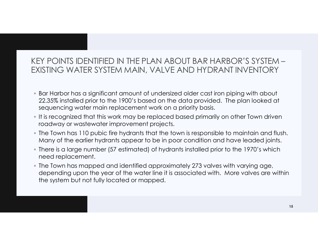## KEY POINTS IDENTIFIED IN THE PLAN ABOUT BAR HARBOR'S SYSTEM – EXISTING WATER SYSTEM MAIN, VALVE AND HYDRANT INVENTORY

- Bar Harbor has a significant amount of undersized older cast iron piping with about 22.35% installed prior to the 1900's based on the data provided. The plan looked at sequencing water main replacement work on a priority basis.
- It is recognized that this work may be replaced based primarily on other Town driven roadway or wastewater improvement projects.
- The Town has 110 pubic fire hydrants that the town is responsible to maintain and flush. Many of the earlier hydrants appear to be in poor condition and have leaded joints.
- There is a large number (57 estimated) of hydrants installed prior to the 1970's which need replacement.
- The Town has mapped and identified approximately 273 valves with varying age, depending upon the year of the water line it is associated with. More valves are within the system but not fully located or mapped.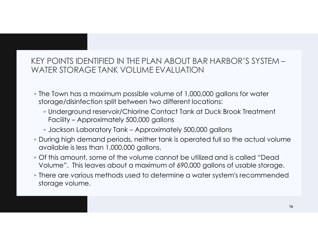## FOINTS IDENTIFIED IN THE PLAN ABOUT BAR HAIN<br>FR STORAGE TANK VOLUME EVALUATION<br>For STORAGE TANK VOLUME EVALUATION<br>From the strainer of 1,000,000 gallons<br>Underground reservoir/Chlorine Contact Tank at Duck<br>Facility – Approx ↑ POINTS IDENTIFIED IN THE PLAN ABOUT BAR HARBOR'S SYSTEM<br>TER STORAGE TANK VOLUME EVALUATION<br>TER STORAGE TANK VOLUME EVALUATION<br>The Town has a maximum possible volume of 1,000,000 gallons for water<br>orage/disinfection spli KEY POINTS IDENTIFIED IN THE PLAN ABOUT BAR HARBOR'S SYSTEM – WATER STORAGE TANK VOLUME EVALUATION

- The Town has a maximum possible volume of 1,000,000 gallons for water storage/disinfection split between two different locations:
	- Underground reservoir/Chlorine Contact Tank at Duck Brook Treatment
	-
- During high demand periods, neither tank is operated full so the actual volume available is less than 1,000,000 gallons.
- Of this amount, some of the volume cannot be utilized and is called "Dead Volume". This leaves about a maximum of 690,000 gallons of usable storage.
- There are various methods used to determine a water system's recommended storage volume.

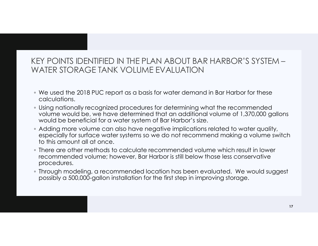## KEY POINTS IDENTIFIED IN THE PLAN ABOUT BAR HARBOR'S SYSTEM – WATER STORAGE TANK VOLUME EVALUATION

- We used the 2018 PUC report as a basis for water demand in Bar Harbor for these calculations.
- Using nationally recognized procedures for determining what the recommended volume would be, we have determined that an additional volume of 1,370,000 gallons would be beneficial for a water system of Bar Harbor's size.
- Adding more volume can also have negative implications related to water quality, especially for surface water systems so we do not recommend making a volume switch to this amount all at once.
- There are other methods to calculate recommended volume which result in lower recommended volume; however, Bar Harbor is still below those less conservative procedures.
- Through modeling, a recommended location has been evaluated. We would suggest possibly a 500,000-gallon installation for the first step in improving storage.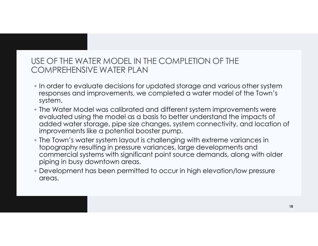## USE OF THE WATER MODEL IN THE COMPLETION OF THE COMPREHENSIVE WATER PLAN

- In order to evaluate decisions for updated storage and various other system responses and improvements, we completed a water model of the Town's system.
- The Water Model was calibrated and different system improvements were evaluated using the model as a basis to better understand the impacts of added water storage, pipe size changes, system connectivity, and location of improvements like a potential booster pump.
- The Town's water system layout is challenging with extreme variances in topography resulting in pressure variances, large developments and commercial systems with significant point source demands, along with older piping in busy downtown areas.
- Development has been permitted to occur in high elevation/low pressure areas.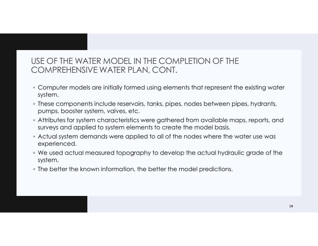## USE OF THE WATER MODEL IN THE COMPLETION OF THE COMPREHENSIVE WATER PLAN, CONT.

- Computer models are initially formed using elements that represent the existing water system.
- These components include reservoirs, tanks, pipes, nodes between pipes, hydrants, pumps, booster system, valves, etc.
- Attributes for system characteristics were gathered from available maps, reports, and surveys and applied to system elements to create the model basis.
- Actual system demands were applied to all of the nodes where the water use was experienced.
- We used actual measured topography to develop the actual hydraulic grade of the system.
- The better the known information, the better the model predictions.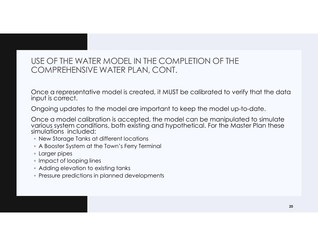## USE OF THE WATER MODEL IN THE COMPLETION OF THE COMPREHENSIVE WATER PLAN, CONT.

Once a representative model is created, it MUST be calibrated to verify that the data input is correct.

Ongoing updates to the model are important to keep the model up-to-date.

Once a model calibration is accepted, the model can be manipulated to simulate various system conditions, both existing and hypothetical. For the Master Plan these<br>simulations included:

- New Storage Tanks at different locations
- A Booster System at the Town's Ferry Terminal
- Larger pipes
- Impact of looping lines
- Adding elevation to existing tanks
- Pressure predictions in planned developments

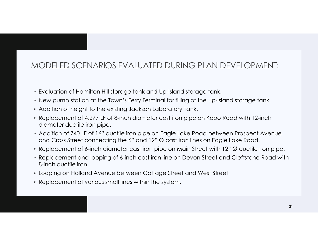## MODELED SCENARIOS EVALUATED DURING PLAN DEVELOPMENT:

- Evaluation of Hamilton Hill storage tank and Up-Island storage tank.
- New pump station at the Town's Ferry Terminal for filling of the Up-Island storage tank.
- Addition of height to the existing Jackson Laboratory Tank.
- Replacement of 4,277 LF of 8-inch diameter cast iron pipe on Kebo Road with 12-inch diameter ductile iron pipe.
- Addition of 740 LF of 16" ductile iron pipe on Eagle Lake Road between Prospect Avenue and Cross Street connecting the 6" and 12" Ø cast iron lines on Eagle Lake Road.
- Replacement of 6-inch diameter cast iron pipe on Main Street with 12" Ø ductile iron pipe.
- MODELED SCENARIOS EVALUATED DURING PLAN DEVELOPMENT:<br>
 Evaluation of Hamilton Hill storage tank and Up-Island storage tank.<br>
 New pump station of the Town's Ferry Terminal for filling of the Up-Island storage tank.<br>
 A 8-inch ductile iron.
- Looping on Holland Avenue between Cottage Street and West Street.
- Replacement of various small lines within the system.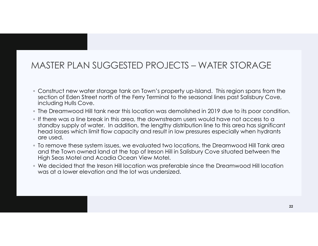# MASTER PLAN SUGGESTED PROJECTS — WATER STORAGE<br>• Construct new water storage tank on Town's property up-Island. This region spans from the

- Construct new water storage tank on Town's property up-Island. This region spans from the section of Eden Street north of the Ferry Terminal to the seasonal lines past Salisbury Cove, including Hulls Cove.
- The Dreamwood Hill tank near this location was demolished in 2019 due to its poor condition.
- If there was a line break in this area, the downstream users would have not access to a standby supply of water. In addition, the lengthy distribution line to this area has significant head losses which limit flow capacity and result in low pressures especially when hydrants are used.
- To remove these system issues, we evaluated two locations, the Dreamwood Hill Tank area and the Town owned land at the top of Ireson Hill in Salisbury Cove situated between the High Seas Motel and Acadia Ocean View Motel.
- We decided that the Ireson Hill location was preferable since the Dreamwood Hill location was at a lower elevation and the lot was undersized.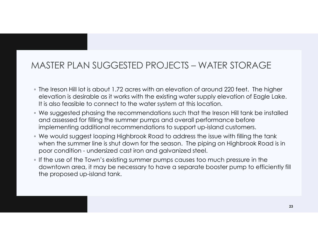# MASTER PLAN SUGGESTED PROJECTS — WATER STORAGE<br>• The Ireson Hill lot is about 1.72 acres with an elevation of around 220 feet. The higher

- The Ireson Hill lot is about 1.72 acres with an elevation of around 220 feet. The higher elevation is desirable as it works with the existing water supply elevation of Eagle Lake. It is also feasible to connect to the water system at this location.
- We suggested phasing the recommendations such that the Ireson Hill tank be installed and assessed for filling the summer pumps and overall performance before implementing additional recommendations to support up-island customers.
- MASTER PLAN SUGGESTED PROJECTS WATER STORAGE<br>
 The Ireson Hill lot is about 1.72 acres with an elevation of around 220 feet. The higher<br>
elevation is desirable as it works with the existing water supply elevation of Eag ASTER PLAN SUGGESTED PROJECTS — WATER STORAGE<br>The Ireson Hill lot is about 1.72 acres with an elevation of around 220 feet. The higher<br>elevation is desirable as it works with the existing water supply elevation of Eagle La pose Condition is discribed as if the way the the existing water proposed up-island transit of the unit of the unit is discribed to the steel of the unit is location of Eqgle Lake. It is also feasible to connect to the wat
- downtown area, it may be necessary to have a separate booster pump to efficiently fill the proposed up-island tank.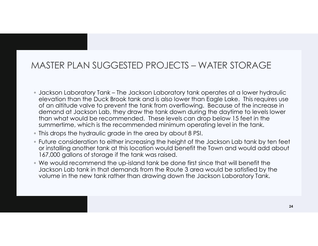# MASTER PLAN SUGGESTED PROJECTS – WATER STORAGE<br>A ligning laboratory Jone – The Jackson Laboratory tank operates at a lower bydrauling

- MASTER PLAN SUGGESTED PROJECTS WATER STORAGE<br>
. Jackson Laboratory Tank The Jackson Laboratory tank operates at a lower hydraulic<br>
elevation than the Duck Brook tank and is also lower than Eagle Lake. This requires use elevation than the Duck Brook tank and is also lower than Eagle Lake. This requires use of an altitude valve to prevent the tank from overflowing. Because of the increase in demand at Jackson Lab, they draw the tank down during the daytime to levels lower than what would be recommended. These levels can drop below 15 feet in the summertime, which is the recommended minimum operating level in the tank.
- This drops the hydraulic grade in the area by about 8 PSI.
- Future consideration to either increasing the height of the Jackson Lab tank by ten feet or installing another tank at this location would benefit the Town and would add about 167,000 gallons of storage if the tank was raised.
- We would recommend the up-island tank be done first since that will benefit the Jackson Lab tank in that demands from the Route 3 area would be satisfied by the volume in the new tank rather than drawing down the Jackson Laboratory Tank.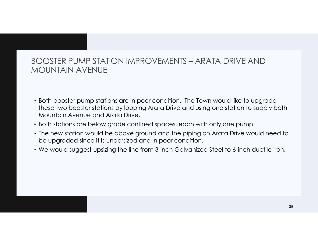## BOOSTER PUMP STATION IMPROVEMENTS – ARATA DRIVE AND<br>MOUNTAIN AVENUE MOUNTAIN AVENUE

- Both booster pump stations are in poor condition. The Town would like to upgrade these two booster stations by looping Arata Drive and using one station to supply both Mountain Avenue and Arata Drive.
- Both stations are below grade confined spaces, each with only one pump.
- The new station would be above ground and the piping on Arata Drive would need to be upgraded since it is undersized and in poor condition.
- We would suggest upsizing the line from 3-inch Galvanized Steel to 6-inch ductile iron.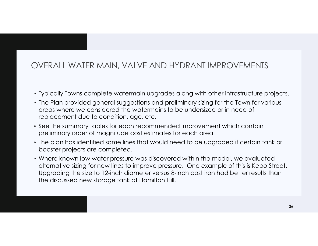## OVERALL WATER MAIN, VALVE AND HYDRANT IMPROVEMENTS

- Typically Towns complete watermain upgrades along with other infrastructure projects.
- The Plan provided general suggestions and preliminary sizing for the Town for various areas where we considered the watermains to be undersized or in need of replacement due to condition, age, etc.
- See the summary tables for each recommended improvement which contain preliminary order of magnitude cost estimates for each area.
- The plan has identified some lines that would need to be upgraded if certain tank or booster projects are completed.
- Where known low water pressure was discovered within the model, we evaluated alternative sizing for new lines to improve pressure. One example of this is Kebo Street. Upgrading the size to 12-inch diameter versus 8-inch cast iron had better results than the discussed new storage tank at Hamilton Hill.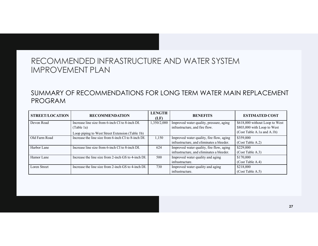|                              | RECOMMENDED INFRASTRUCTURE AND WATER SYSTEM                                                            |                     |                                                                                       |                                                                                             |
|------------------------------|--------------------------------------------------------------------------------------------------------|---------------------|---------------------------------------------------------------------------------------|---------------------------------------------------------------------------------------------|
|                              | <b>IMPROVEMENT PLAN</b><br>SUMMARY OF RECOMMENDATIONS FOR LONG TERM WATER MAIN REPLACEMENT             |                     |                                                                                       |                                                                                             |
| <b>PROGRAM</b>               |                                                                                                        |                     |                                                                                       |                                                                                             |
|                              |                                                                                                        |                     |                                                                                       |                                                                                             |
| <b>STREET/LOCATION</b>       | <b>RECOMMENDATION</b>                                                                                  | <b>LENGTH</b>       | <b>BENEFITS</b>                                                                       | <b>ESTIMATED COST</b>                                                                       |
| Devon Road                   | Increase line size from 6-inch CI to 8-inch DI.<br>(Table 1a)                                          | (LF)<br>1,350/2,000 | Improved water quality, pressure, aging<br>infrastructure, and fire flow.             | \$618,000 without Loop to West<br>\$803,000 with Loop to West<br>(Cost Table A.1a and A.1b) |
|                              | Loop piping to West Street Extension (Table 1b)<br>Increase the line size from 6-inch CI to 8-inch DI. | 1,150               | Improved water quality, fire flow, aging<br>infrastructure, and eliminates a bleeder. | \$359,000<br>(Cost Table A.2)                                                               |
| Old Farm Road<br>Harbor Lane | Increase line size from 6-inch CI to 8-inch DI.                                                        | 624                 | Improved water quality, fire flow, aging<br>infrastructure, and eliminates a bleeder. | \$229,000<br>(Cost Table A.3)                                                               |
| Hamor Lane                   | Increase the line size from 2-inch GS to 4-inch DI.                                                    | 500                 | Improved water quality and aging<br>infrastructure.                                   | \$170,000<br>(Cost Table A.4)                                                               |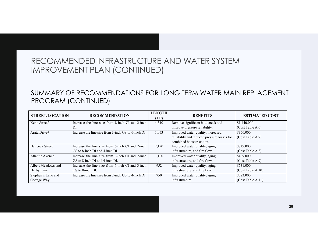|                                   | RECOMMENDED INFRASTRUCTURE AND WATER SYSTEM<br><b>IMPROVEMENT PLAN (CONTINUED)</b>                                   |               |                                                                                                                                                |                                                   |  |
|-----------------------------------|----------------------------------------------------------------------------------------------------------------------|---------------|------------------------------------------------------------------------------------------------------------------------------------------------|---------------------------------------------------|--|
|                                   | SUMMARY OF RECOMMENDATIONS FOR LONG TERM WATER MAIN REPLACEMENT                                                      |               |                                                                                                                                                |                                                   |  |
|                                   | PROGRAM (CONTINUED)                                                                                                  | <b>LENGTH</b> |                                                                                                                                                |                                                   |  |
| <b>STREET/LOCATION</b>            | <b>RECOMMENDATION</b>                                                                                                | (LF)          | <b>BENEFITS</b>                                                                                                                                | <b>ESTIMATED COST</b>                             |  |
| Kebo Street <sup>2</sup>          | Increase the line size from 8-inch CI to 12-inch<br>DI.                                                              | 4,310         | Remove significant bottleneck and                                                                                                              | \$1,440,000                                       |  |
| Arata Drive <sup>2</sup>          | Increase the line size from 3-inch GS to 6-inch DI.                                                                  | 1,053         | improve pressure reliability.<br>Improved water quality, increased<br>reliability and reduced pressure losses for<br>combined booster station. | (Cost Table A.6)<br>\$356,000<br>(Cost Table A.7) |  |
| Hancock Street                    | Increase the line size from 6-inch CI and 2-inch                                                                     | 2,120         | Improved water quality, aging                                                                                                                  | \$749,000                                         |  |
| Atlantic Avenue                   | GS to 8-inch DI and 4-inch DI.<br>Increase the line size from 6-inch CI and 2-inch<br>GS to 8-inch DI and 4-inch DI. | 1,100         | infrastructure, and fire flow.<br>Improved water quality, aging<br>infrastructure, and fire flow.                                              | (Cost Table A.8)<br>\$489,000<br>(Cost Table A.9) |  |
| Albert Meadows and                | Increase the line size from 6-inch CI and 3-inch                                                                     | 952           | Improved water quality, aging                                                                                                                  | \$531,000                                         |  |
| Derby Lane                        | GS to 8-inch DI.                                                                                                     |               | infrastructure, and fire flow.                                                                                                                 | (Cost Table A.10)                                 |  |
| Stephen's Lane and<br>Cottage Way | Increase the line size from 2-inch GS to 4-inch DI.                                                                  | 750           | Improved water quality, aging<br>infrastructure.                                                                                               | \$323,000<br>(Cost Table A.11)                    |  |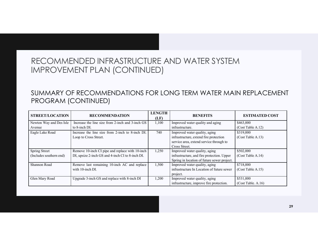|                                                 | RECOMMENDED INFRASTRUCTURE AND WATER SYSTEM<br><b>IMPROVEMENT PLAN (CONTINUED)</b>                  |                       |                                                                                                                                                        |                                                     |
|-------------------------------------------------|-----------------------------------------------------------------------------------------------------|-----------------------|--------------------------------------------------------------------------------------------------------------------------------------------------------|-----------------------------------------------------|
|                                                 |                                                                                                     |                       |                                                                                                                                                        |                                                     |
| PROGRAM (CONTINUED)                             | SUMMARY OF RECOMMENDATIONS FOR LONG TERM WATER MAIN REPLACEMENT                                     |                       |                                                                                                                                                        |                                                     |
| <b>STREET/LOCATION</b>                          | <b>RECOMMENDATION</b>                                                                               | <b>LENGTH</b><br>(LF) | <b>BENEFITS</b>                                                                                                                                        | <b>ESTIMATED COST</b>                               |
| Newton Way and Des Isle                         | Increase the line size from 2-inch and 3-inch GS                                                    | 1,100                 | Improved water quality and aging                                                                                                                       | \$463,000                                           |
| Avenue<br>Eagle Lake Road                       | to 8-inch DI.<br>Increase the line size from 2-inch to 8-inch DI.<br>Loop to Cross Street.          | 740                   | infrastructure.<br>Improved water quality, aging<br>infrastructure, extend fire protection<br>service area, extend service through to<br>Cross Street. | (Cost Table A.12)<br>\$319,000<br>(Cost Table A.13) |
| <b>Spring Street</b><br>(Includes southern end) | Remove 10-inch CI pipe and replace with 10-inch<br>DI, upsize 2-inch GS and 4-inch CI to 8-inch DI. | 1,250                 | Improved water quality, aging<br>infrastructure, and fire protection. Upper                                                                            | \$502,000<br>(Cost Table A.14)                      |
| Shannon Road                                    | Remove last remaining 10-inch AC and replace<br>with 10-inch DI.                                    | 1,500                 | Spring in location of future sewer project.<br>Improved water quality, aging<br>infrastructure In Location of future sewer<br>project.                 | \$718,000<br>(Cost Table A.15)                      |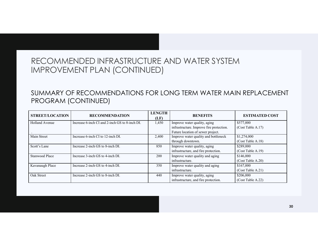|                        | RECOMMENDED INFRASTRUCTURE AND WATER SYSTEM<br><b>IMPROVEMENT PLAN (CONTINUED)</b> |               |                                                                                                               |                                                     |  |
|------------------------|------------------------------------------------------------------------------------|---------------|---------------------------------------------------------------------------------------------------------------|-----------------------------------------------------|--|
|                        | SUMMARY OF RECOMMENDATIONS FOR LONG TERM WATER MAIN REPLACEMENT                    |               |                                                                                                               |                                                     |  |
| PROGRAM (CONTINUED)    |                                                                                    |               |                                                                                                               |                                                     |  |
| <b>STREET/LOCATION</b> | <b>RECOMMENDATION</b>                                                              | <b>LENGTH</b> | <b>BENEFITS</b>                                                                                               | <b>ESTIMATED COST</b>                               |  |
| <b>Holland Avenue</b>  | Increase 6-inch CI and 2-inch GS to 8-inch DI.                                     | (LF)<br>1,450 | Improve water quality, aging<br>infrastructure. Improve fire protection.<br>Future location of sewer project. | \$577,000<br>(Cost Table A.17)                      |  |
| Main Street            | Increase 6-inch CI to 12-inch DI.                                                  | 2,400         | Improve water quality and bottleneck                                                                          | \$1,274,000                                         |  |
| Scott's Lane           | Increase 2-inch GS to 8-inch DI.                                                   | 850           | through downtown.<br>Improve water quality, aging                                                             | (Cost Table A.18)<br>\$289,000                      |  |
| <b>Stanwood Place</b>  | Increase 3-inch GS to 4-inch DI.                                                   | 200           | infrastructure, and fire protection.<br>Improve water quality and aging                                       | (Cost Table A.19)<br>\$146,000                      |  |
| Kavanaugh Place        | Increase 2-inch GS to 4-inch DI.                                                   | 350           | infrastructure.<br>Improve water quality and aging<br>infrastructure.                                         | (Cost Table A.20)<br>\$167,000<br>(Cost Table A.21) |  |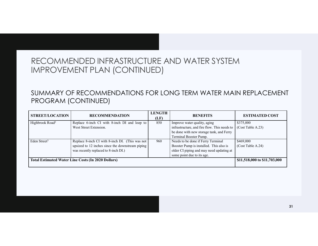| RECOMMENDED INFRASTRUCTURE AND WATER SYSTEM<br><b>IMPROVEMENT PLAN (CONTINUED)</b><br>SUMMARY OF RECOMMENDATIONS FOR LONG TERM WATER MAIN REPLACEMENT<br>PROGRAM (CONTINUED)<br><b>LENGTH</b><br><b>STREET/LOCATION</b><br><b>RECOMMENDATION</b><br><b>BENEFITS</b><br><b>ESTIMATED COST</b><br>(LF)<br>Replace 6-inch CI with 8-inch DI and loop to<br>\$375,000<br>850<br>Improve water quality, aging<br>infrastructure, and fire flow. This needs to<br>West Street Extension.<br>(Cost Table A.23)<br>be done with new storage tank, and Ferry<br>Terminal Booster Pump.<br>Replace 8-inch CI with 8-inch DI. (This was not<br>\$469,000<br>960<br>Needs to be done if Ferry Terminal<br>upsized to 12 inches since the downstream piping<br>Booster Pump is installed. This also is<br>(Cost Table A.24)<br>was recently replaced to 8-inch DI.)<br>older CI piping and may need updating at<br>some point due to its age.<br><b>Total Estimated Water Line Costs (In 2020 Dollars)</b><br>\$11,518,000 to \$11,703,000 |  |  |  |
|-------------------------------------------------------------------------------------------------------------------------------------------------------------------------------------------------------------------------------------------------------------------------------------------------------------------------------------------------------------------------------------------------------------------------------------------------------------------------------------------------------------------------------------------------------------------------------------------------------------------------------------------------------------------------------------------------------------------------------------------------------------------------------------------------------------------------------------------------------------------------------------------------------------------------------------------------------------------------------------------------------------------------------|--|--|--|
| Highbrook Road <sup>2</sup><br>Eden Street <sup>3</sup>                                                                                                                                                                                                                                                                                                                                                                                                                                                                                                                                                                                                                                                                                                                                                                                                                                                                                                                                                                       |  |  |  |
|                                                                                                                                                                                                                                                                                                                                                                                                                                                                                                                                                                                                                                                                                                                                                                                                                                                                                                                                                                                                                               |  |  |  |
|                                                                                                                                                                                                                                                                                                                                                                                                                                                                                                                                                                                                                                                                                                                                                                                                                                                                                                                                                                                                                               |  |  |  |
|                                                                                                                                                                                                                                                                                                                                                                                                                                                                                                                                                                                                                                                                                                                                                                                                                                                                                                                                                                                                                               |  |  |  |
|                                                                                                                                                                                                                                                                                                                                                                                                                                                                                                                                                                                                                                                                                                                                                                                                                                                                                                                                                                                                                               |  |  |  |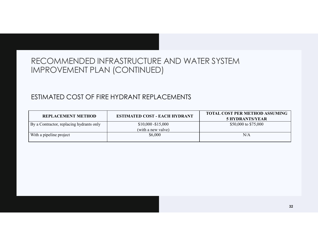## ESTIMATED COST OF FIRE HYDRANT REPLACEMENTS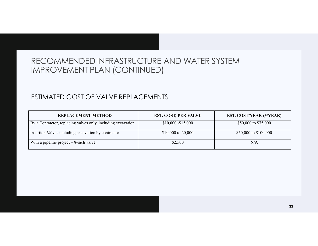## ESTIMATED COST OF VALVE REPLACEMENTS

| RECOMMENDED INFRASTRUCTURE AND WATER SYSTEM                   |                      |                                |
|---------------------------------------------------------------|----------------------|--------------------------------|
| <b>IMPROVEMENT PLAN (CONTINUED)</b>                           |                      |                                |
| ESTIMATED COST OF VALVE REPLACEMENTS                          |                      |                                |
| <b>REPLACEMENT METHOD</b>                                     | EST. COST, PER VALVE | <b>EST. COST/YEAR (5/YEAR)</b> |
| By a Contractor, replacing valves only, including excavation. | $$10,000 - $15,000$  | \$50,000 to \$75,000           |
| Insertion Valves including excavation by contractor.          | \$10,000 to 20,000   | \$50,000 to \$100,000          |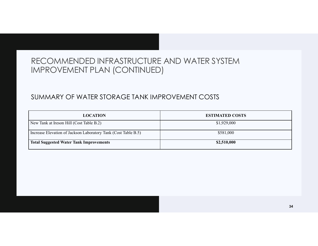## SUMMARY OF WATER STORAGE TANK IMPROVEMENT COSTS

| RECOMMENDED INFRASTRUCTURE AND WATER SYSTEM                    |                        |  |
|----------------------------------------------------------------|------------------------|--|
| <b>IMPROVEMENT PLAN (CONTINUED)</b>                            |                        |  |
| SUMMARY OF WATER STORAGE TANK IMPROVEMENT COSTS                |                        |  |
| <b>LOCATION</b>                                                | <b>ESTIMATED COSTS</b> |  |
| New Tank at Ireson Hill (Cost Table B.2)                       | \$1,929,000            |  |
| Increase Elevation of Jackson Laboratory Tank (Cost Table B.5) | \$581,000              |  |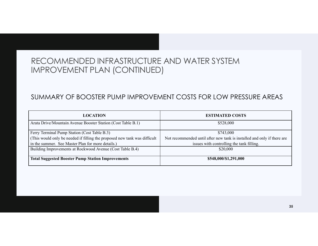## SUMMARY OF BOOSTER PUMP IMPROVEMENT COSTS FOR LOW PRESSURE AREAS

| RECOMMENDED INFRASTRUCTURE AND WATER SYSTEM<br><b>IMPROVEMENT PLAN (CONTINUED)</b>                                                                                                     |                                                                         |
|----------------------------------------------------------------------------------------------------------------------------------------------------------------------------------------|-------------------------------------------------------------------------|
|                                                                                                                                                                                        |                                                                         |
| SUMMARY OF BOOSTER PUMP IMPROVEMENT COSTS FOR LOW PRESSURE AREAS                                                                                                                       |                                                                         |
| <b>LOCATION</b>                                                                                                                                                                        | <b>ESTIMATED COSTS</b>                                                  |
| Arata Drive/Mountain Avenue Booster Station (Cost Table B.1)                                                                                                                           | \$528,000                                                               |
|                                                                                                                                                                                        | \$743,000                                                               |
|                                                                                                                                                                                        | Not recommended until after new tank is installed and only if there are |
| in the summer. See Master Plan for more details.)                                                                                                                                      |                                                                         |
| Ferry Terminal Pump Station (Cost Table B.3)<br>(This would only be needed if filling the proposed new tank was difficult<br>Building Improvements at Rockwood Avenue (Cost Table B.4) | issues with controlling the tank filling.<br>\$20,000                   |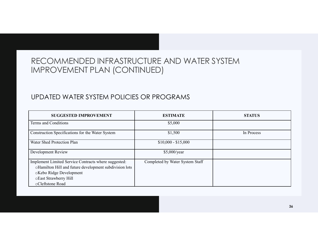## UPDATED WATER SYSTEM POLICIES OR PROGRAMS

| RECOMMENDED INFRASTRUCTURE AND WATER SYSTEM<br>IMPROVEMENT PLAN (CONTINUED)<br>UPDATED WATER SYSTEM POLICIES OR PROGRAMS |                                 |               |
|--------------------------------------------------------------------------------------------------------------------------|---------------------------------|---------------|
| <b>SUGGESTED IMPROVEMENT</b>                                                                                             | <b>ESTIMATE</b>                 | <b>STATUS</b> |
| Terms and Conditions                                                                                                     | \$5,000                         |               |
| Construction Specifications for the Water System                                                                         | \$1,500                         | In Process    |
| <b>Water Shed Protection Plan</b>                                                                                        | $$10,000 - $15,000$             |               |
| Development Review                                                                                                       | \$5,000/year                    |               |
| Implement Limited Service Contracts where suggested:<br>oHamilton Hill and future development subdivision lots           | Completed by Water System Staff |               |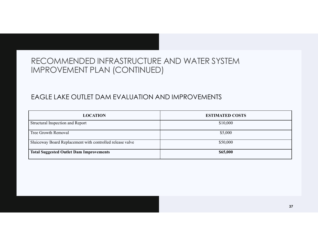## EAGLE LAKE OUTLET DAM EVALUATION AND IMPROVEMENTS

| RECOMMENDED INFRASTRUCTURE AND WATER SYSTEM                                 |
|-----------------------------------------------------------------------------|
|                                                                             |
|                                                                             |
|                                                                             |
| EAGLE LAKE OUTLET DAM EVALUATION AND IMPROVEMENTS<br><b>ESTIMATED COSTS</b> |
|                                                                             |
| \$10,000                                                                    |
| \$5,000                                                                     |
| \$50,000                                                                    |
| \$65,000                                                                    |
|                                                                             |